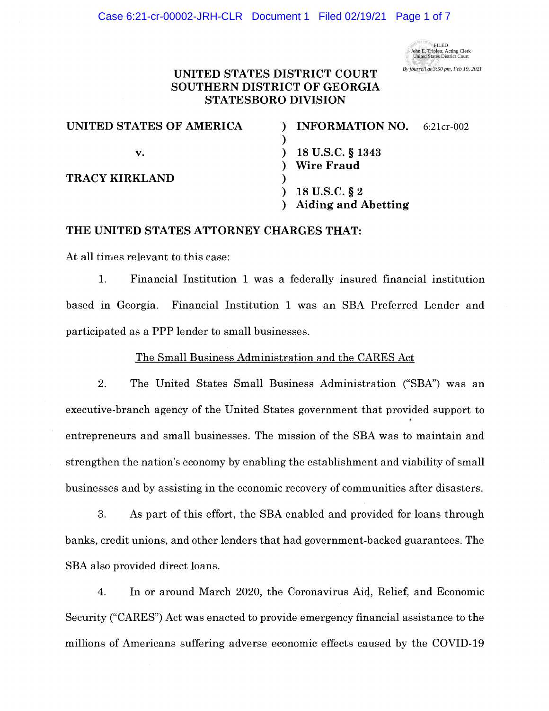

## **UNITED STATES DISTRICT COURT SOUTHERN DISTRICT OF GEORGIA STATESBORO DIVISION**

| UNITED STATES OF AMERICA | <b>INFORMATION NO.</b>     | 6:21cr-002 |
|--------------------------|----------------------------|------------|
|                          |                            |            |
| v.                       | 18 U.S.C. § 1343           |            |
|                          | <b>Wire Fraud</b>          |            |
| <b>TRACY KIRKLAND</b>    |                            |            |
|                          | 18 U.S.C. § 2              |            |
|                          | <b>Aiding and Abetting</b> |            |

## **THE UNITED STATES ATTORNEY CHARGES THAT:**

At all times relevant to this case:

1. Financial Institution 1 was a federally insured financial institution based in Georgia. Financial Institution 1 was an SBA Preferred Lender and participated as a PPP lender to small businesses.

The Small Business Administration and the CARES Act

2. The United States Small Business Administration ("SBA") was an executive-branch agency of the United States government that provided support to entrepreneurs and small businesses. The mission of the SBA was to maintain and strengthen the nation's economy by enabling the establishment and viability of small businesses and by assisting in the economic recovery of communities after disasters.

3. As part of this effort, the SBA enabled and provided for loans through banks, credit unions, and other lenders that had government-backed guarantees. The SBA also provided direct loans.

4. In or around March 2020, the Coronavirus Aid, Relief, and Economic Security ("CARES") Act was enacted to provide emergency financial assistance to the millions of Americans suffering adverse economic effects caused by the COVID-19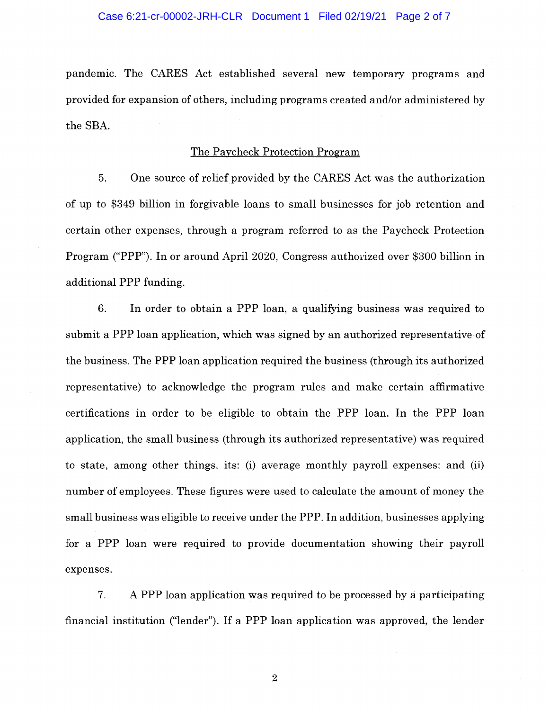pandemic. The CARES Act established several new temporary programs and provided for expansion of others, including programs created and/or administered by the SBA.

### The Paycheck Protection Program

5. One source of relief provided by the CARES Act was the authorization of up to \$349 billion in forgivable loans to small businesses for job retention and certain other expenses, through a program referred to as the Paycheck Protection Program ("PPP"). In or around April 2020, Congress authorized over \$300 billion in additional PPP funding.

6. In order to obtain a PPP loan, a qualifying business was required to submit a PPP loan application, which was signed by an authorized representative of the business. The PPP loan application required the business (through its authorized representative) to acknowledge the program rules and make certain affirmative certifications in order to be eligible to obtain the PPP loan. In the PPP loan application, the small business (through its authorized representative) was required to state, among other things, its: (i) average monthly payroll expenses; and (ii) number of employees. These figures were used to calculate the amount of money the small business was eligible to receive under the PPP. In addition, businesses applying for a PPP loan were required to provide documentation showing their payroll expenses.

7. A PPP loan application was required to be processed by a participating financial institution ("lender"). If a PPP loan application was approved, the lender

2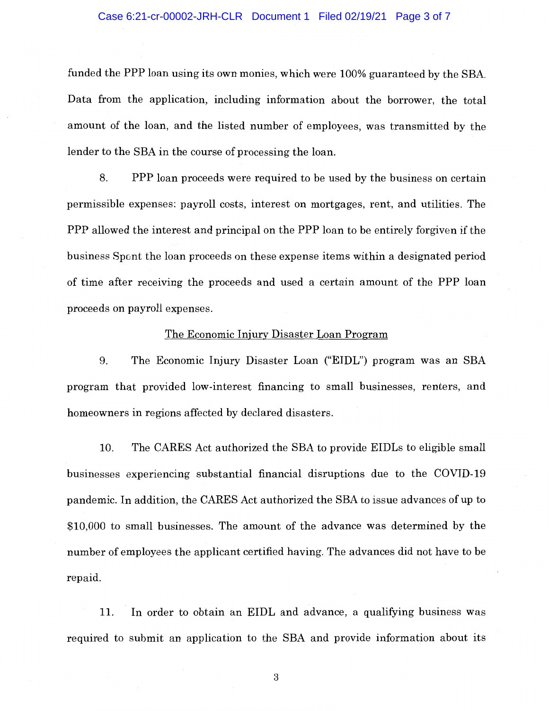#### Case 6:21-cr-00002-JRH-CLR Document 1 Filed 02/19/21 Page 3 of 7

funded the PPP loan using its own monies, which were 100% guaranteed by the SBA. Data from the application, including information about the borrower, the total amount of the loan, and the listed number of employees, was transmitted by the lender to the SBA in the course of processing the loan.

8. PPP loan proceeds were required to be used by the business on certain permissible expenses: payroll costs, interest on mortgages, rent, and utilities. The PPP allowed the interest and principal on the PPP loan to be entirely forgiven if the business Spent the loan proceeds on these expense items within a designated period of time after receiving the proceeds and used a certain amount of the PPP loan proceeds on payroll expenses.

#### The Economic Injury Disaster Loan Program

9. The Economic Injury Disaster Loan ("EIDL") program was an SBA program that provided low-interest financing to small businesses, renters, and homeowners in regions affected by declared disasters.

10. The CARES Act authorized the SBA to provide EIDLs to eligible small businesses experiencing substantial financial disruptions due to the COVID-19 pandemic. In addition, the CARES Act authorized the SBA to issue advances of up to \$10,000 to small businesses. The amount of the advance was determined by the number of employees the applicant certified having. The advances did not have to be repaid.

11. In order to obtain an EIDL and advance, a qualifying business was required to submit an application to the SBA and provide information about its

3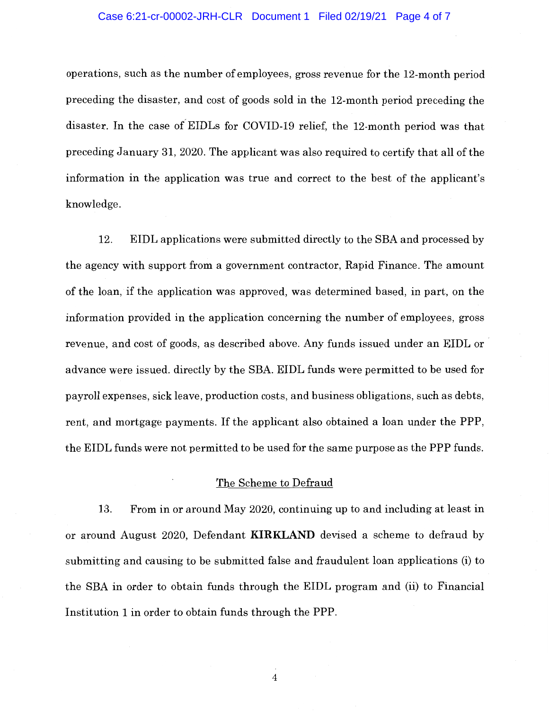### Case 6:21-cr-00002-JRH-CLR Document 1 Filed 02/19/21 Page 4 of 7

operations, such as the number of employees, gross revenue for the 12-month period preceding the disaster, and cost of goods sold in the 12-month period preceding the disaster. In the case o{EIDLs for COVID-19 relief, the 12-month period was that preceding January 31, 2020. The applicant was also required to certify that all of the information in the application was true and correct to the best of the applicant's knowledge.

12. EIDL applications were submitted directly to the SBA and processed by the agency with support from a government contractor, Rapid Finance. The amount of the loan, if the application was approved, was determined based, in part, on the information provided in the application concerning the number of employees, gross revenue, and cost of goods, as described above. Any funds issued under an EIDL or advance were issued. directly by the SBA. EIDL funds were permitted to be used for payroll expenses, sick leave, production costs, and business obligations, such as debts, rent, and mortgage payments. If the applicant also obtained a loan under the PPP, the EIDL funds were not permitted to be used for the same purpose as the PPP funds.

### The Scheme to Defraud

13. From in or around May 2020, continuing up to and including at least in or around August 2020, Defendant **KIRKLAND** devised a scheme to defraud by submitting and causing to be submitted false and fraudulent loan applications (i) to the SBA in order to obtain funds through the EIDL program and (ii) to Financial Institution 1 in order to obtain funds through the PPP.

4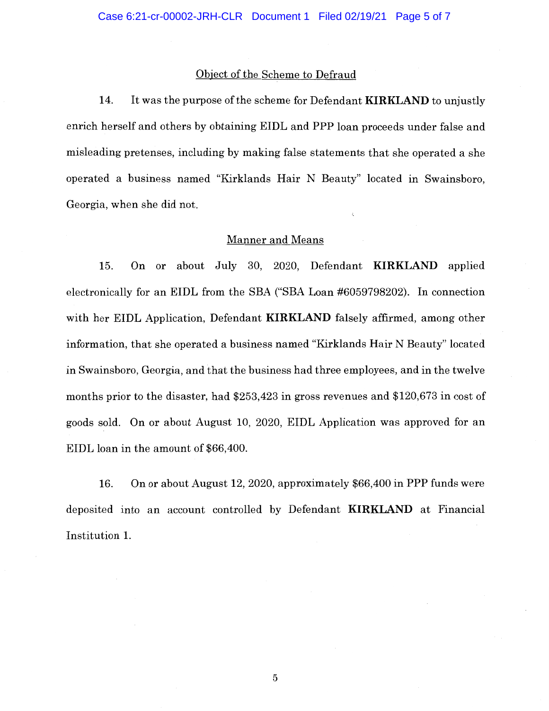### Object of the Scheme to Defraud

14. It was the purpose of the scheme for Defendant **KIRKLAND** to unjustly enrich herself and others by obtaining EIDL and PPP loan proceeds under false and misleading pretenses, including by making false statements that she operated a she operated a business named "Kirklands Hair N Beauty" located in Swainsboro, Georgia, when she did not.

#### Manner and Means

15. On or about July 30, 2020, Defendant **KIRKLAND** applied electronically for an EIDL from the SBA ("SBA Loan #6059798202). In connection with her EIDL Application, Defendant **KIRKLAND** falsely affirmed, among other information, that she operated a business named "Kirklands Hair N Beauty" located in Swainsboro, Georgia, and that the business had three employees, and in the twelve months prior to the disaster, had \$253,423 in gross revenues and \$120,673 in cost of goods sold. On or about August 10, 2020, EIDL Application was approved for an EIDL loan in the amount of \$66,400.

16. On or about August 12, 2020, approximately \$66,400 in PPP funds were deposited into an account controlled by Defendant **KIRKLAND** at Financial Institution 1.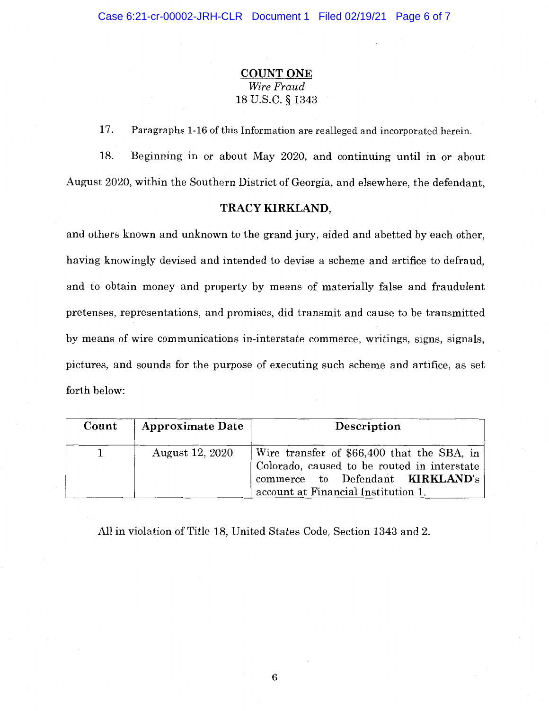# **COUNT ONE**  *Wire Fraud*  18 U.S.C. § 1343

17. Paragraphs 1-16 of this Information are realleged and incorporated herein.

18. Beginning in or about May 2020, and continuing until in or about August 2020, within the Southern District of Georgia, and elsewhere, the defendant,

## **TRACY KIRKLAND,**

and others known and unknown to the grand jury, aided and abetted by each other, having knowingly devised and intended to devise a scheme and artifice to defraud, and to obtain money and property by means of materially false and fraudulent pretenses, representations, and promises, did transmit and cause to be transmitted by means of wire communications in-interstate commerce, writings, signs, signals, pictures, and sounds for the purpose of executing such scheme and artifice, as set forth below:

| Count | <b>Approximate Date</b> | Description                                                                                                                                                                 |
|-------|-------------------------|-----------------------------------------------------------------------------------------------------------------------------------------------------------------------------|
|       | August 12, 2020         | Wire transfer of \$66,400 that the SBA, in<br>Colorado, caused to be routed in interstate<br>commerce to Defendant <b>KIRKLAND's</b><br>account at Financial Institution 1. |

All in violation of Title 18, United States Code, Section 1343 and 2.